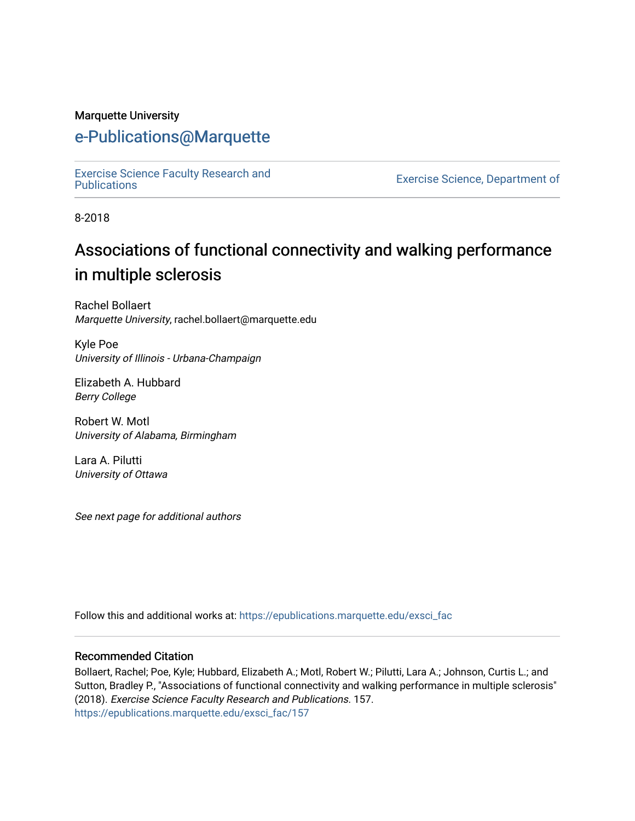#### Marquette University

## [e-Publications@Marquette](https://epublications.marquette.edu/)

[Exercise Science Faculty Research and](https://epublications.marquette.edu/exsci_fac)

Exercise Science, Department of

8-2018

# Associations of functional connectivity and walking performance in multiple sclerosis

Rachel Bollaert Marquette University, rachel.bollaert@marquette.edu

Kyle Poe University of Illinois - Urbana-Champaign

Elizabeth A. Hubbard Berry College

Robert W. Motl University of Alabama, Birmingham

Lara A. Pilutti University of Ottawa

See next page for additional authors

Follow this and additional works at: [https://epublications.marquette.edu/exsci\\_fac](https://epublications.marquette.edu/exsci_fac?utm_source=epublications.marquette.edu%2Fexsci_fac%2F157&utm_medium=PDF&utm_campaign=PDFCoverPages)

#### Recommended Citation

Bollaert, Rachel; Poe, Kyle; Hubbard, Elizabeth A.; Motl, Robert W.; Pilutti, Lara A.; Johnson, Curtis L.; and Sutton, Bradley P., "Associations of functional connectivity and walking performance in multiple sclerosis" (2018). Exercise Science Faculty Research and Publications. 157. [https://epublications.marquette.edu/exsci\\_fac/157](https://epublications.marquette.edu/exsci_fac/157?utm_source=epublications.marquette.edu%2Fexsci_fac%2F157&utm_medium=PDF&utm_campaign=PDFCoverPages)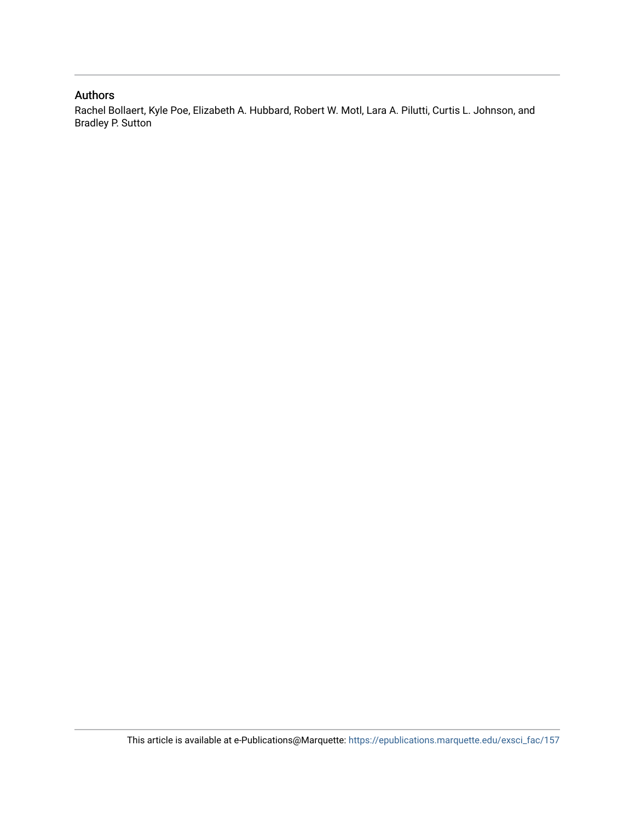#### Authors

Rachel Bollaert, Kyle Poe, Elizabeth A. Hubbard, Robert W. Motl, Lara A. Pilutti, Curtis L. Johnson, and Bradley P. Sutton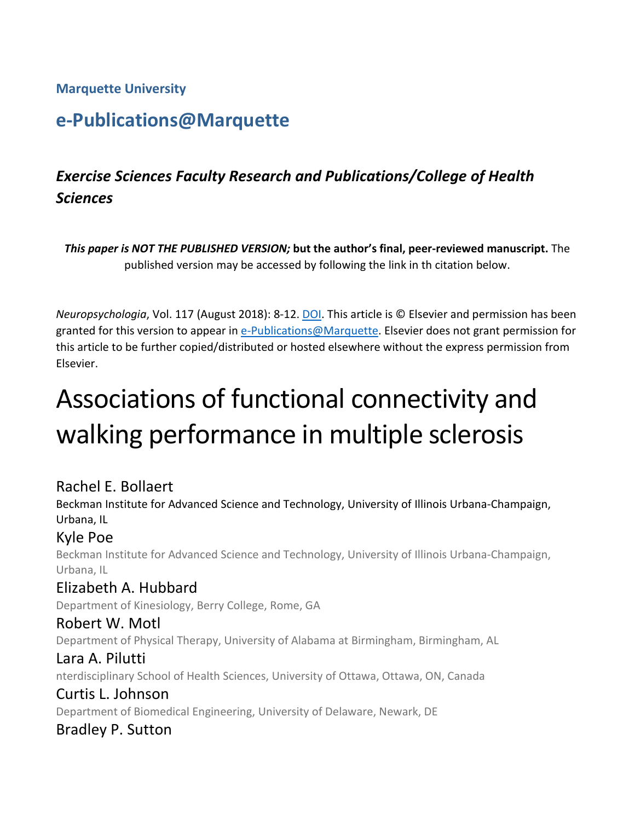**Marquette University**

# **e-Publications@Marquette**

## *Exercise Sciences Faculty Research and Publications/College of Health Sciences*

*This paper is NOT THE PUBLISHED VERSION;* **but the author's final, peer-reviewed manuscript.** The published version may be accessed by following the link in th citation below.

*Neuropsychologia*, Vol. 117 (August 2018): 8-12. [DOI.](https://doi.org/10.1016/j.neuropsychologia.2018.05.007) This article is © Elsevier and permission has been granted for this version to appear in [e-Publications@Marquette.](http://epublications.marquette.edu/) Elsevier does not grant permission for this article to be further copied/distributed or hosted elsewhere without the express permission from Elsevier.

# Associations of functional connectivity and walking performance in multiple sclerosis

## Rachel E. Bollaert

Beckman Institute for Advanced Science and Technology, University of Illinois Urbana-Champaign, Urbana, IL

#### Kyle Poe

Beckman Institute for Advanced Science and Technology, University of Illinois Urbana-Champaign, Urbana, IL

#### Elizabeth A. Hubbard

Department of Kinesiology, Berry College, Rome, GA

#### Robert W. Motl

Department of Physical Therapy, University of Alabama at Birmingham, Birmingham, AL

#### Lara A. Pilutti

nterdisciplinary School of Health Sciences, University of Ottawa, Ottawa, ON, Canada

#### Curtis L. Johnson

Department of Biomedical Engineering, University of Delaware, Newark, DE

#### Bradley P. Sutton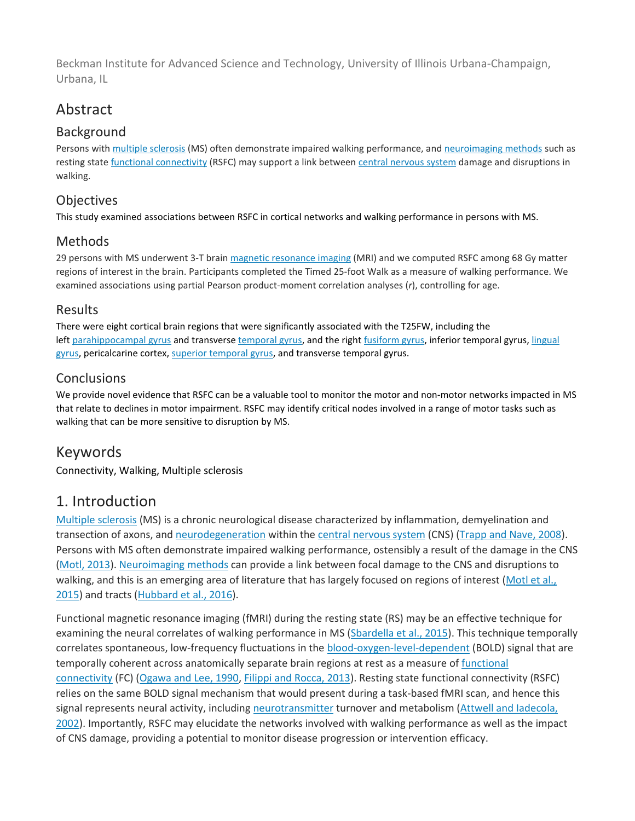Beckman Institute for Advanced Science and Technology, University of Illinois Urbana-Champaign, Urbana, IL

## Abstract

#### Background

Persons with [multiple sclerosis](https://0-www-sciencedirect-com.libus.csd.mu.edu/topics/neuroscience/multiple-sclerosis) (MS) often demonstrate impaired walking performance, and [neuroimaging methods](https://0-www-sciencedirect-com.libus.csd.mu.edu/topics/psychology/neuroimaging-method) such as resting state **[functional connectivity](https://0-www-sciencedirect-com.libus.csd.mu.edu/topics/psychology/functional-connectivity)** (RSFC) may support a link between [central nervous system](https://0-www-sciencedirect-com.libus.csd.mu.edu/topics/neuroscience/central-nervous-system) damage and disruptions in walking.

#### **Objectives**

This study examined associations between RSFC in cortical networks and walking performance in persons with MS.

#### **Methods**

29 persons with MS underwent 3-T brain [magnetic resonance imaging](https://0-www-sciencedirect-com.libus.csd.mu.edu/topics/neuroscience/magnetic-resonance-imaging) (MRI) and we computed RSFC among 68 Gy matter regions of interest in the brain. Participants completed the Timed 25-foot Walk as a measure of walking performance. We examined associations using partial Pearson product-moment correlation analyses (*r*), controlling for age.

#### Results

There were eight cortical brain regions that were significantly associated with the T25FW, including the left [parahippocampal gyrus](https://0-www-sciencedirect-com.libus.csd.mu.edu/topics/neuroscience/parahippocampal-gyrus) and transverse [temporal gyrus,](https://0-www-sciencedirect-com.libus.csd.mu.edu/topics/psychology/temporal-gyrus) and the right [fusiform gyrus,](https://0-www-sciencedirect-com.libus.csd.mu.edu/topics/neuroscience/fusiform-gyrus) inferior temporal gyrus, [lingual](https://0-www-sciencedirect-com.libus.csd.mu.edu/topics/neuroscience/lingual-gyrus)  [gyrus,](https://0-www-sciencedirect-com.libus.csd.mu.edu/topics/neuroscience/lingual-gyrus) pericalcarine cortex, [superior temporal gyrus,](https://0-www-sciencedirect-com.libus.csd.mu.edu/topics/psychology/superior-temporal-gyrus) and transverse temporal gyrus.

#### Conclusions

We provide novel evidence that RSFC can be a valuable tool to monitor the motor and non-motor networks impacted in MS that relate to declines in motor impairment. RSFC may identify critical nodes involved in a range of motor tasks such as walking that can be more sensitive to disruption by MS.

## Keywords

Connectivity, Walking, Multiple sclerosis

## 1. Introduction

[Multiple sclerosis](https://0-www-sciencedirect-com.libus.csd.mu.edu/topics/neuroscience/multiple-sclerosis) (MS) is a chronic neurological disease characterized by inflammation, demyelination and transection of axons, and [neurodegeneration](https://0-www-sciencedirect-com.libus.csd.mu.edu/topics/neuroscience/neurodegeneration) within the [central nervous system](https://0-www-sciencedirect-com.libus.csd.mu.edu/topics/neuroscience/central-nervous-system) (CNS) [\(Trapp and Nave, 2008\)](https://0-www-sciencedirect-com.libus.csd.mu.edu/science/article/pii/S0028393218302033#bib43). Persons with MS often demonstrate impaired walking performance, ostensibly a result of the damage in the CNS [\(Motl, 2013\)](https://0-www-sciencedirect-com.libus.csd.mu.edu/science/article/pii/S0028393218302033#bib31). [Neuroimaging methods](https://0-www-sciencedirect-com.libus.csd.mu.edu/topics/psychology/neuroimaging-method) can provide a link between focal damage to the CNS and disruptions to walking, and this is an emerging area of literature that has largely focused on regions of interest (Motl et al., [2015\)](https://0-www-sciencedirect-com.libus.csd.mu.edu/science/article/pii/S0028393218302033#bib32) and tracts [\(Hubbard et al., 2016\)](https://0-www-sciencedirect-com.libus.csd.mu.edu/science/article/pii/S0028393218302033#bib22).

Functional magnetic resonance imaging (fMRI) during the resting state (RS) may be an effective technique for examining the neural correlates of walking performance in MS [\(Sbardella et al., 2015\)](https://0-www-sciencedirect-com.libus.csd.mu.edu/science/article/pii/S0028393218302033#bib41). This technique temporally correlates spontaneous, low-frequency fluctuations in the [blood-oxygen-level-dependent](https://0-www-sciencedirect-com.libus.csd.mu.edu/topics/neuroscience/blood-oxygen-level-dependent) (BOLD) signal that are temporally coherent across anatomically separate brain regions at rest as a measure of [functional](https://0-www-sciencedirect-com.libus.csd.mu.edu/topics/psychology/functional-connectivity)  [connectivity](https://0-www-sciencedirect-com.libus.csd.mu.edu/topics/psychology/functional-connectivity) (FC) [\(Ogawa and Lee, 1990,](https://0-www-sciencedirect-com.libus.csd.mu.edu/science/article/pii/S0028393218302033#bib36) [Filippi and Rocca, 2013\)](https://0-www-sciencedirect-com.libus.csd.mu.edu/science/article/pii/S0028393218302033#bib10). Resting state functional connectivity (RSFC) relies on the same BOLD signal mechanism that would present during a task-based fMRI scan, and hence this signal represents neural activity, including [neurotransmitter](https://0-www-sciencedirect-com.libus.csd.mu.edu/topics/neuroscience/neurotransmitter) turnover and metabolism [\(Attwell and Iadecola,](https://0-www-sciencedirect-com.libus.csd.mu.edu/science/article/pii/S0028393218302033#bib2)  [2002\)](https://0-www-sciencedirect-com.libus.csd.mu.edu/science/article/pii/S0028393218302033#bib2). Importantly, RSFC may elucidate the networks involved with walking performance as well as the impact of CNS damage, providing a potential to monitor disease progression or intervention efficacy.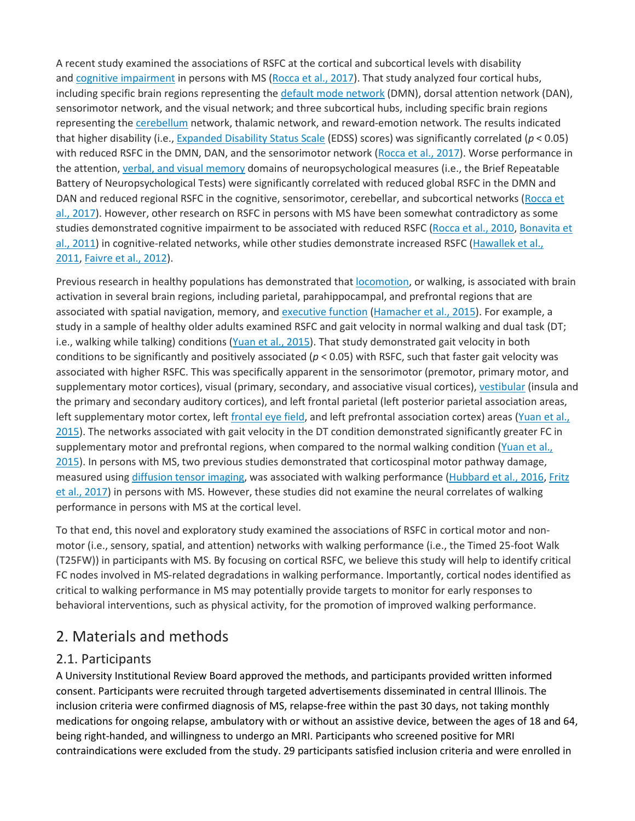A recent study examined the associations of RSFC at the cortical and subcortical levels with disability and [cognitive impairment](https://0-www-sciencedirect-com.libus.csd.mu.edu/topics/neuroscience/cognitive-disorders) in persons with MS [\(Rocca et al., 2017\)](https://0-www-sciencedirect-com.libus.csd.mu.edu/science/article/pii/S0028393218302033#bib40). That study analyzed four cortical hubs, including specific brain regions representing the [default mode network](https://0-www-sciencedirect-com.libus.csd.mu.edu/topics/neuroscience/default-mode-network) (DMN), dorsal attention network (DAN), sensorimotor network, and the visual network; and three subcortical hubs, including specific brain regions representing the [cerebellum](https://0-www-sciencedirect-com.libus.csd.mu.edu/topics/neuroscience/cerebellum) network, thalamic network, and reward-emotion network. The results indicated that higher disability (i.e., [Expanded Disability Status Scale](https://0-www-sciencedirect-com.libus.csd.mu.edu/topics/neuroscience/expanded-disability-status-scale) (EDSS) scores) was significantly correlated (*p* < 0.05) with reduced RSFC in the DMN, DAN, and the sensorimotor network [\(Rocca et al., 2017\)](https://0-www-sciencedirect-com.libus.csd.mu.edu/science/article/pii/S0028393218302033#bib40). Worse performance in the attention, [verbal, and visual memory](https://0-www-sciencedirect-com.libus.csd.mu.edu/topics/neuroscience/verbal-memory) domains of neuropsychological measures (i.e., the Brief Repeatable Battery of Neuropsychological Tests) were significantly correlated with reduced global RSFC in the DMN and DAN and reduced regional RSFC in the cognitive, sensorimotor, cerebellar, and subcortical networks [\(Rocca et](https://0-www-sciencedirect-com.libus.csd.mu.edu/science/article/pii/S0028393218302033#bib40)  [al., 2017\)](https://0-www-sciencedirect-com.libus.csd.mu.edu/science/article/pii/S0028393218302033#bib40). However, other research on RSFC in persons with MS have been somewhat contradictory as some studies demonstrated cognitive impairment to be associated with reduced RSFC [\(Rocca et al., 2010,](https://0-www-sciencedirect-com.libus.csd.mu.edu/science/article/pii/S0028393218302033#bib39) [Bonavita et](https://0-www-sciencedirect-com.libus.csd.mu.edu/science/article/pii/S0028393218302033#bib3)  [al., 2011\)](https://0-www-sciencedirect-com.libus.csd.mu.edu/science/article/pii/S0028393218302033#bib3) in cognitive-related networks, while other studies demonstrate increased RSFC [\(Hawallek et al.,](https://0-www-sciencedirect-com.libus.csd.mu.edu/science/article/pii/S0028393218302033#bib19)  [2011,](https://0-www-sciencedirect-com.libus.csd.mu.edu/science/article/pii/S0028393218302033#bib19) [Faivre et al., 2012\)](https://0-www-sciencedirect-com.libus.csd.mu.edu/science/article/pii/S0028393218302033#bib8).

Previous research in healthy populations has demonstrated that [locomotion,](https://0-www-sciencedirect-com.libus.csd.mu.edu/topics/neuroscience/locomotion) or walking, is associated with brain activation in several brain regions, including parietal, parahippocampal, and prefrontal regions that are associated with spatial navigation, memory, and [executive function](https://0-www-sciencedirect-com.libus.csd.mu.edu/topics/psychology/executive-function) [\(Hamacher et al., 2015\)](https://0-www-sciencedirect-com.libus.csd.mu.edu/science/article/pii/S0028393218302033#bib18). For example, a study in a sample of healthy older adults examined RSFC and gait velocity in normal walking and dual task (DT; i.e., walking while talking) conditions [\(Yuan et al., 2015\)](https://0-www-sciencedirect-com.libus.csd.mu.edu/science/article/pii/S0028393218302033#bib46). That study demonstrated gait velocity in both conditions to be significantly and positively associated (*p* < 0.05) with RSFC, such that faster gait velocity was associated with higher RSFC. This was specifically apparent in the sensorimotor (premotor, primary motor, and supplementary motor cortices), visual (primary, secondary, and associative visual cortices), [vestibular](https://0-www-sciencedirect-com.libus.csd.mu.edu/topics/neuroscience/vestibular) (insula and the primary and secondary auditory cortices), and left frontal parietal (left posterior parietal association areas, left supplementary motor cortex, left [frontal eye field,](https://0-www-sciencedirect-com.libus.csd.mu.edu/topics/neuroscience/frontal-eye-fields) and left prefrontal association cortex) areas [\(Yuan et al.,](https://0-www-sciencedirect-com.libus.csd.mu.edu/science/article/pii/S0028393218302033#bib46)  [2015\)](https://0-www-sciencedirect-com.libus.csd.mu.edu/science/article/pii/S0028393218302033#bib46). The networks associated with gait velocity in the DT condition demonstrated significantly greater FC in supplementary motor and prefrontal regions, when compared to the normal walking condition [\(Yuan et al.,](https://0-www-sciencedirect-com.libus.csd.mu.edu/science/article/pii/S0028393218302033#bib46)  [2015\)](https://0-www-sciencedirect-com.libus.csd.mu.edu/science/article/pii/S0028393218302033#bib46). In persons with MS, two previous studies demonstrated that corticospinal motor pathway damage, measured using [diffusion tensor imaging,](https://0-www-sciencedirect-com.libus.csd.mu.edu/topics/neuroscience/diffusion-tensor-imaging) was associated with walking performance [\(Hubbard et al., 2016,](https://0-www-sciencedirect-com.libus.csd.mu.edu/science/article/pii/S0028393218302033#bib22) [Fritz](https://0-www-sciencedirect-com.libus.csd.mu.edu/science/article/pii/S0028393218302033#bib13)  [et al., 2017\)](https://0-www-sciencedirect-com.libus.csd.mu.edu/science/article/pii/S0028393218302033#bib13) in persons with MS. However, these studies did not examine the neural correlates of walking performance in persons with MS at the cortical level.

To that end, this novel and exploratory study examined the associations of RSFC in cortical motor and nonmotor (i.e., sensory, spatial, and attention) networks with walking performance (i.e., the Timed 25-foot Walk (T25FW)) in participants with MS. By focusing on cortical RSFC, we believe this study will help to identify critical FC nodes involved in MS-related degradations in walking performance. Importantly, cortical nodes identified as critical to walking performance in MS may potentially provide targets to monitor for early responses to behavioral interventions, such as physical activity, for the promotion of improved walking performance.

#### 2. Materials and methods

#### 2.1. Participants

A University Institutional Review Board approved the methods, and participants provided written informed consent. Participants were recruited through targeted advertisements disseminated in central Illinois. The inclusion criteria were confirmed diagnosis of MS, relapse-free within the past 30 days, not taking monthly medications for ongoing relapse, ambulatory with or without an assistive device, between the ages of 18 and 64, being right-handed, and willingness to undergo an MRI. Participants who screened positive for MRI contraindications were excluded from the study. 29 participants satisfied inclusion criteria and were enrolled in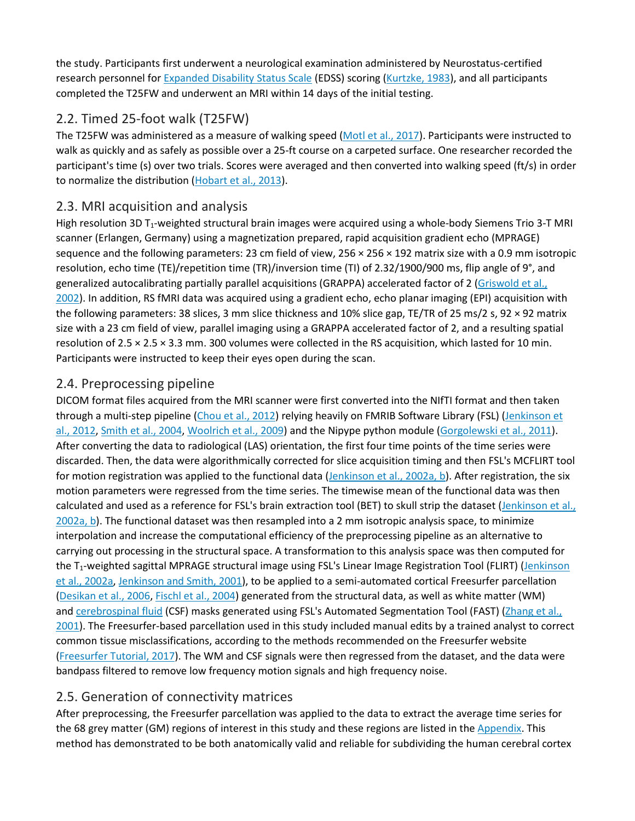the study. Participants first underwent a neurological examination administered by Neurostatus-certified research personnel for [Expanded Disability Status Scale](https://0-www-sciencedirect-com.libus.csd.mu.edu/topics/neuroscience/expanded-disability-status-scale) (EDSS) scoring [\(Kurtzke, 1983\)](https://0-www-sciencedirect-com.libus.csd.mu.edu/science/article/pii/S0028393218302033#bib30), and all participants completed the T25FW and underwent an MRI within 14 days of the initial testing.

#### 2.2. Timed 25-foot walk (T25FW)

The T25FW was administered as a measure of walking speed [\(Motl et al., 2017\)](https://0-www-sciencedirect-com.libus.csd.mu.edu/science/article/pii/S0028393218302033#bib33). Participants were instructed to walk as quickly and as safely as possible over a 25-ft course on a carpeted surface. One researcher recorded the participant's time (s) over two trials. Scores were averaged and then converted into walking speed (ft/s) in order to normalize the distribution [\(Hobart et al., 2013\)](https://0-www-sciencedirect-com.libus.csd.mu.edu/science/article/pii/S0028393218302033#bib21).

#### 2.3. MRI acquisition and analysis

High resolution 3D T<sub>1</sub>-weighted structural brain images were acquired using a whole-body Siemens Trio 3-T MRI scanner (Erlangen, Germany) using a magnetization prepared, rapid acquisition gradient echo (MPRAGE) sequence and the following parameters: 23 cm field of view, 256 × 256 × 192 matrix size with a 0.9 mm isotropic resolution, echo time (TE)/repetition time (TR)/inversion time (TI) of 2.32/1900/900 ms, flip angle of 9°, and generalized autocalibrating partially parallel acquisitions (GRAPPA) accelerated factor of 2 [\(Griswold et al.,](https://0-www-sciencedirect-com.libus.csd.mu.edu/science/article/pii/S0028393218302033#bib17)  [2002\)](https://0-www-sciencedirect-com.libus.csd.mu.edu/science/article/pii/S0028393218302033#bib17). In addition, RS fMRI data was acquired using a gradient echo, echo planar imaging (EPI) acquisition with the following parameters: 38 slices, 3 mm slice thickness and 10% slice gap, TE/TR of 25 ms/2 s, 92 × 92 matrix size with a 23 cm field of view, parallel imaging using a GRAPPA accelerated factor of 2, and a resulting spatial resolution of 2.5 × 2.5 × 3.3 mm. 300 volumes were collected in the RS acquisition, which lasted for 10 min. Participants were instructed to keep their eyes open during the scan.

#### 2.4. Preprocessing pipeline

DICOM format files acquired from the MRI scanner were first converted into the NIfTI format and then taken through a multi-step pipeline [\(Chou et al., 2012\)](https://0-www-sciencedirect-com.libus.csd.mu.edu/science/article/pii/S0028393218302033#bib5) relying heavily on FMRIB Software Library (FSL) (Jenkinson et [al., 2012,](https://0-www-sciencedirect-com.libus.csd.mu.edu/science/article/pii/S0028393218302033#bib27) [Smith et al., 2004,](https://0-www-sciencedirect-com.libus.csd.mu.edu/science/article/pii/S0028393218302033#bib42) [Woolrich et al., 2009\)](https://0-www-sciencedirect-com.libus.csd.mu.edu/science/article/pii/S0028393218302033#bib45) and the Nipype python module [\(Gorgolewski et al., 2011\)](https://0-www-sciencedirect-com.libus.csd.mu.edu/science/article/pii/S0028393218302033#bib16). After converting the data to radiological (LAS) orientation, the first four time points of the time series were discarded. Then, the data were algorithmically corrected for slice acquisition timing and then FSL's MCFLIRT tool for motion registration was applied to the functional data [\(Jenkinson et al., 2002a, b\)](https://0-www-sciencedirect-com.libus.csd.mu.edu/science/article/pii/S0028393218302033#bib26). After registration, the six motion parameters were regressed from the time series. The timewise mean of the functional data was then calculated and used as a reference for FSL's brain extraction tool (BET) to skull strip the dataset [\(Jenkinson et al.,](https://0-www-sciencedirect-com.libus.csd.mu.edu/science/article/pii/S0028393218302033#bib28)  [2002a, b](https://0-www-sciencedirect-com.libus.csd.mu.edu/science/article/pii/S0028393218302033#bib28)). The functional dataset was then resampled into a 2 mm isotropic analysis space, to minimize interpolation and increase the computational efficiency of the preprocessing pipeline as an alternative to carrying out processing in the structural space. A transformation to this analysis space was then computed for the T<sub>1</sub>-weighted sagittal MPRAGE structural image using FSL's Linear Image Registration Tool (FLIRT) (Jenkinson [et al., 2002a,](https://0-www-sciencedirect-com.libus.csd.mu.edu/science/article/pii/S0028393218302033#bib26) [Jenkinson and Smith, 2001\)](https://0-www-sciencedirect-com.libus.csd.mu.edu/science/article/pii/S0028393218302033#bib25), to be applied to a semi-automated cortical Freesurfer parcellation [\(Desikan et al., 2006,](https://0-www-sciencedirect-com.libus.csd.mu.edu/science/article/pii/S0028393218302033#bib7) [Fischl et al., 2004\)](https://0-www-sciencedirect-com.libus.csd.mu.edu/science/article/pii/S0028393218302033#bib11) generated from the structural data, as well as white matter (WM) and [cerebrospinal fluid](https://0-www-sciencedirect-com.libus.csd.mu.edu/topics/psychology/cerebrospinal-fluid) (CSF) masks generated using FSL's Automated Segmentation Tool (FAST) [\(Zhang et al.,](https://0-www-sciencedirect-com.libus.csd.mu.edu/science/article/pii/S0028393218302033#bib47)  [2001\)](https://0-www-sciencedirect-com.libus.csd.mu.edu/science/article/pii/S0028393218302033#bib47). The Freesurfer-based parcellation used in this study included manual edits by a trained analyst to correct common tissue misclassifications, according to the methods recommended on the Freesurfer website [\(Freesurfer Tutorial, 2017\)](https://0-www-sciencedirect-com.libus.csd.mu.edu/science/article/pii/S0028393218302033#bib12). The WM and CSF signals were then regressed from the dataset, and the data were bandpass filtered to remove low frequency motion signals and high frequency noise.

#### 2.5. Generation of connectivity matrices

After preprocessing, the Freesurfer parcellation was applied to the data to extract the average time series for the 68 grey matter (GM) regions of interest in this study and these regions are listed in the [Appendix.](https://0-www-sciencedirect-com.libus.csd.mu.edu/science/article/pii/S0028393218302033#s0075) This method has demonstrated to be both anatomically valid and reliable for subdividing the human cerebral cortex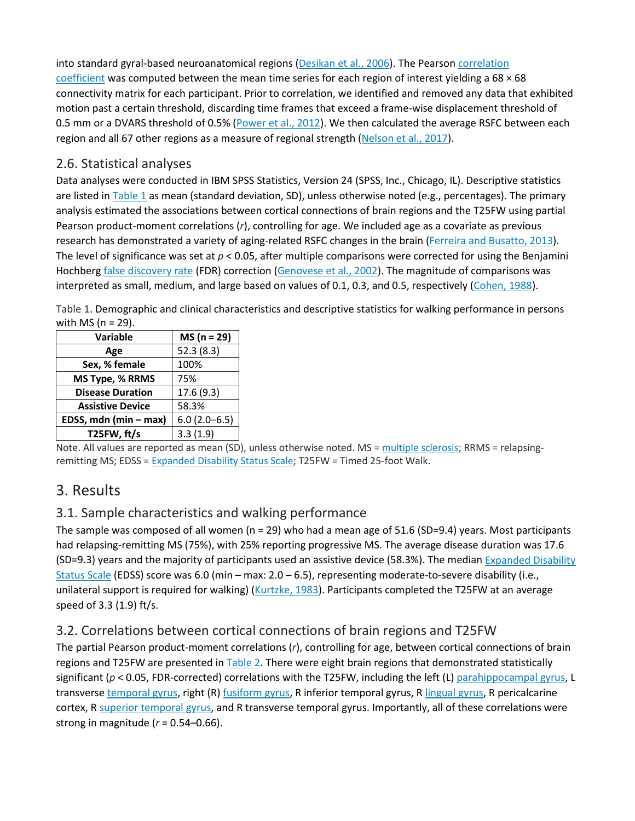into standard gyral-based neuroanatomical regions [\(Desikan et al., 2006\)](https://0-www-sciencedirect-com.libus.csd.mu.edu/science/article/pii/S0028393218302033#bib7). The Pearson [correlation](https://0-www-sciencedirect-com.libus.csd.mu.edu/topics/psychology/correlation-coefficient)  [coefficient](https://0-www-sciencedirect-com.libus.csd.mu.edu/topics/psychology/correlation-coefficient) was computed between the mean time series for each region of interest yielding a 68 × 68 connectivity matrix for each participant. Prior to correlation, we identified and removed any data that exhibited motion past a certain threshold, discarding time frames that exceed a frame-wise displacement threshold of 0.5 mm or a DVARS threshold of 0.5% ([Power et al., 2012\)](https://0-www-sciencedirect-com.libus.csd.mu.edu/science/article/pii/S0028393218302033#bib38). We then calculated the average RSFC between each region and all 67 other regions as a measure of regional strength [\(Nelson et al., 2017\)](https://0-www-sciencedirect-com.libus.csd.mu.edu/science/article/pii/S0028393218302033#bib35).

#### 2.6. Statistical analyses

Data analyses were conducted in IBM SPSS Statistics, Version 24 (SPSS, Inc., Chicago, IL). Descriptive statistics are listed in [Table 1](https://0-www-sciencedirect-com.libus.csd.mu.edu/science/article/pii/S0028393218302033#t0005) as mean (standard deviation, SD), unless otherwise noted (e.g., percentages). The primary analysis estimated the associations between cortical connections of brain regions and the T25FW using partial Pearson product-moment correlations (*r*), controlling for age. We included age as a covariate as previous research has demonstrated a variety of aging-related RSFC changes in the brain [\(Ferreira and Busatto, 2013\)](https://0-www-sciencedirect-com.libus.csd.mu.edu/science/article/pii/S0028393218302033#bib9). The level of significance was set at *p* < 0.05, after multiple comparisons were corrected for using the Benjamini Hochberg [false discovery rate](https://0-www-sciencedirect-com.libus.csd.mu.edu/topics/neuroscience/false-discovery-rate) (FDR) correction [\(Genovese et al., 2002\)](https://0-www-sciencedirect-com.libus.csd.mu.edu/science/article/pii/S0028393218302033#bib14). The magnitude of comparisons was interpreted as small, medium, and large based on values of 0.1, 0.3, and 0.5, respectively [\(Cohen, 1988\)](https://0-www-sciencedirect-com.libus.csd.mu.edu/science/article/pii/S0028393218302033#bib6).

Table 1. Demographic and clinical characteristics and descriptive statistics for walking performance in persons with MS  $(n = 29)$ .

| $\frac{1}{2}$                    |                |
|----------------------------------|----------------|
| $MS (n = 29)$<br><b>Variable</b> |                |
| Age                              | 52.3(8.3)      |
| Sex, % female                    | 100%           |
| MS Type, % RRMS                  | 75%            |
| <b>Disease Duration</b>          | 17.6 (9.3)     |
| <b>Assistive Device</b>          | 58.3%          |
| EDSS, mdn (min - max)            | $6.0(2.0-6.5)$ |
| T25FW, ft/s                      | 3.3(1.9)       |

Note. All values are reported as mean (SD), unless otherwise noted. MS = [multiple sclerosis](https://0-www-sciencedirect-com.libus.csd.mu.edu/topics/neuroscience/multiple-sclerosis); RRMS = relapsingremitting MS; EDSS = [Expanded Disability Status Scale](https://0-www-sciencedirect-com.libus.csd.mu.edu/topics/neuroscience/expanded-disability-status-scale); T25FW = Timed 25-foot Walk.

## 3. Results

#### 3.1. Sample characteristics and walking performance

The sample was composed of all women (n = 29) who had a mean age of 51.6 (SD=9.4) years. Most participants had relapsing-remitting MS (75%), with 25% reporting progressive MS. The average disease duration was 17.6 (SD=9.3) years and the majority of participants used an assistive device (58.3%). The median [Expanded Disability](https://0-www-sciencedirect-com.libus.csd.mu.edu/topics/neuroscience/expanded-disability-status-scale)  [Status Scale](https://0-www-sciencedirect-com.libus.csd.mu.edu/topics/neuroscience/expanded-disability-status-scale) (EDSS) score was 6.0 (min – max: 2.0 – 6.5), representing moderate-to-severe disability (i.e., unilateral support is required for walking) [\(Kurtzke, 1983\)](https://0-www-sciencedirect-com.libus.csd.mu.edu/science/article/pii/S0028393218302033#bib30). Participants completed the T25FW at an average speed of 3.3 (1.9) ft/s.

#### 3.2. Correlations between cortical connections of brain regions and T25FW

The partial Pearson product-moment correlations (*r*), controlling for age, between cortical connections of brain regions and T25FW are presented in [Table 2.](https://0-www-sciencedirect-com.libus.csd.mu.edu/science/article/pii/S0028393218302033#t0010) There were eight brain regions that demonstrated statistically significant (*p* < 0.05, FDR-corrected) correlations with the T25FW, including the left (L) [parahippocampal gyrus,](https://0-www-sciencedirect-com.libus.csd.mu.edu/topics/neuroscience/parahippocampal-gyrus) L transverse [temporal gyrus,](https://0-www-sciencedirect-com.libus.csd.mu.edu/topics/psychology/temporal-gyrus) right (R) [fusiform gyrus,](https://0-www-sciencedirect-com.libus.csd.mu.edu/topics/neuroscience/fusiform-gyrus) R inferior temporal gyrus, R [lingual gyrus,](https://0-www-sciencedirect-com.libus.csd.mu.edu/topics/neuroscience/lingual-gyrus) R pericalcarine cortex, R [superior temporal gyrus,](https://0-www-sciencedirect-com.libus.csd.mu.edu/topics/psychology/superior-temporal-gyrus) and R transverse temporal gyrus. Importantly, all of these correlations were strong in magnitude (*r* = 0.54–0.66).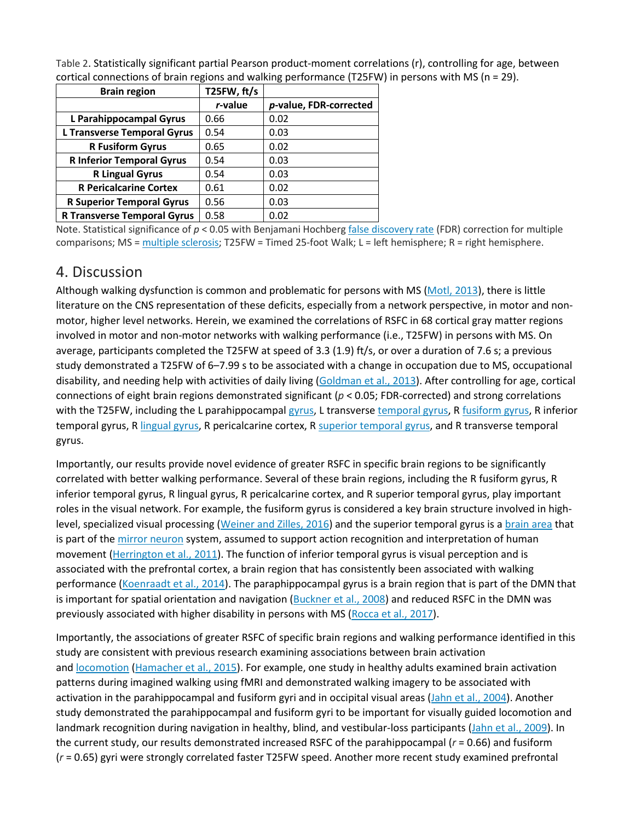| <b>Brain region</b>                | T25FW, ft/s |                        |
|------------------------------------|-------------|------------------------|
|                                    | r-value     | p-value, FDR-corrected |
| L Parahippocampal Gyrus            | 0.66        | 0.02                   |
| <b>L Transverse Temporal Gyrus</b> | 0.54        | 0.03                   |
| <b>R Fusiform Gyrus</b>            | 0.65        | 0.02                   |
| <b>R Inferior Temporal Gyrus</b>   | 0.54        | 0.03                   |
| <b>R Lingual Gyrus</b>             | 0.54        | 0.03                   |
| <b>R Pericalcarine Cortex</b>      | 0.61        | 0.02                   |
| <b>R Superior Temporal Gyrus</b>   | 0.56        | 0.03                   |
| <b>R Transverse Temporal Gyrus</b> | 0.58        | 0.02                   |

Table 2. Statistically significant partial Pearson product-moment correlations (r), controlling for age, between cortical connections of brain regions and walking performance (T25FW) in persons with MS (n = 29).

Note. Statistical significance of  $p < 0.05$  with Benjamani Hochberg [false discovery rate](https://0-www-sciencedirect-com.libus.csd.mu.edu/topics/neuroscience/false-discovery-rate) (FDR) correction for multiple comparisons; MS = [multiple sclerosis;](https://0-www-sciencedirect-com.libus.csd.mu.edu/topics/neuroscience/multiple-sclerosis) T25FW = Timed 25-foot Walk; L = left hemisphere; R = right hemisphere.

#### 4. Discussion

Although walking dysfunction is common and problematic for persons with MS [\(Motl, 2013\)](https://0-www-sciencedirect-com.libus.csd.mu.edu/science/article/pii/S0028393218302033#bib31), there is little literature on the CNS representation of these deficits, especially from a network perspective, in motor and nonmotor, higher level networks. Herein, we examined the correlations of RSFC in 68 cortical gray matter regions involved in motor and non-motor networks with walking performance (i.e., T25FW) in persons with MS. On average, participants completed the T25FW at speed of 3.3 (1.9) ft/s, or over a duration of 7.6 s; a previous study demonstrated a T25FW of 6–7.99 s to be associated with a change in occupation due to MS, occupational disability, and needing help with activities of daily living [\(Goldman et al., 2013\)](https://0-www-sciencedirect-com.libus.csd.mu.edu/science/article/pii/S0028393218302033#bib15). After controlling for age, cortical connections of eight brain regions demonstrated significant (*p* < 0.05; FDR-corrected) and strong correlations with the T25FW, including the L parahippocampal [gyrus,](https://0-www-sciencedirect-com.libus.csd.mu.edu/topics/neuroscience/gyri) L transverse [temporal gyrus,](https://0-www-sciencedirect-com.libus.csd.mu.edu/topics/psychology/temporal-gyrus) R [fusiform gyrus,](https://0-www-sciencedirect-com.libus.csd.mu.edu/topics/neuroscience/fusiform-gyrus) R inferior temporal gyrus, R [lingual gyrus,](https://0-www-sciencedirect-com.libus.csd.mu.edu/topics/neuroscience/lingual-gyrus) R pericalcarine cortex, R [superior temporal gyrus,](https://0-www-sciencedirect-com.libus.csd.mu.edu/topics/psychology/superior-temporal-gyrus) and R transverse temporal gyrus.

Importantly, our results provide novel evidence of greater RSFC in specific brain regions to be significantly correlated with better walking performance. Several of these brain regions, including the R fusiform gyrus, R inferior temporal gyrus, R lingual gyrus, R pericalcarine cortex, and R superior temporal gyrus, play important roles in the visual network. For example, the fusiform gyrus is considered a key brain structure involved in high-level, specialized visual processing [\(Weiner and Zilles, 2016\)](https://0-www-sciencedirect-com.libus.csd.mu.edu/science/article/pii/S0028393218302033#bib44) and the superior temporal gyrus is a [brain area](https://0-www-sciencedirect-com.libus.csd.mu.edu/topics/neuroscience/brain-areas) that is part of the [mirror neuron](https://0-www-sciencedirect-com.libus.csd.mu.edu/topics/neuroscience/mirror-neuron) system, assumed to support action recognition and interpretation of human movement [\(Herrington et al., 2011\)](https://0-www-sciencedirect-com.libus.csd.mu.edu/science/article/pii/S0028393218302033#bib20). The function of inferior temporal gyrus is visual perception and is associated with the prefrontal cortex, a brain region that has consistently been associated with walking performance [\(Koenraadt et al., 2014\)](https://0-www-sciencedirect-com.libus.csd.mu.edu/science/article/pii/S0028393218302033#bib29). The paraphippocampal gyrus is a brain region that is part of the DMN that is important for spatial orientation and navigation [\(Buckner et al., 2008\)](https://0-www-sciencedirect-com.libus.csd.mu.edu/science/article/pii/S0028393218302033#bib4) and reduced RSFC in the DMN was previously associated with higher disability in persons with MS [\(Rocca et al., 2017\)](https://0-www-sciencedirect-com.libus.csd.mu.edu/science/article/pii/S0028393218302033#bib40).

Importantly, the associations of greater RSFC of specific brain regions and walking performance identified in this study are consistent with previous research examining associations between brain activation and [locomotion](https://0-www-sciencedirect-com.libus.csd.mu.edu/topics/neuroscience/locomotion) [\(Hamacher et al., 2015\)](https://0-www-sciencedirect-com.libus.csd.mu.edu/science/article/pii/S0028393218302033#bib18). For example, one study in healthy adults examined brain activation patterns during imagined walking using fMRI and demonstrated walking imagery to be associated with activation in the parahippocampal and fusiform gyri and in occipital visual areas [\(Jahn et al., 2004\)](https://0-www-sciencedirect-com.libus.csd.mu.edu/science/article/pii/S0028393218302033#bib23). Another study demonstrated the parahippocampal and fusiform gyri to be important for visually guided locomotion and landmark recognition during navigation in healthy, blind, and vestibular-loss participants [\(Jahn et al., 2009\)](https://0-www-sciencedirect-com.libus.csd.mu.edu/science/article/pii/S0028393218302033#bib24). In the current study, our results demonstrated increased RSFC of the parahippocampal (*r* = 0.66) and fusiform (*r* = 0.65) gyri were strongly correlated faster T25FW speed. Another more recent study examined prefrontal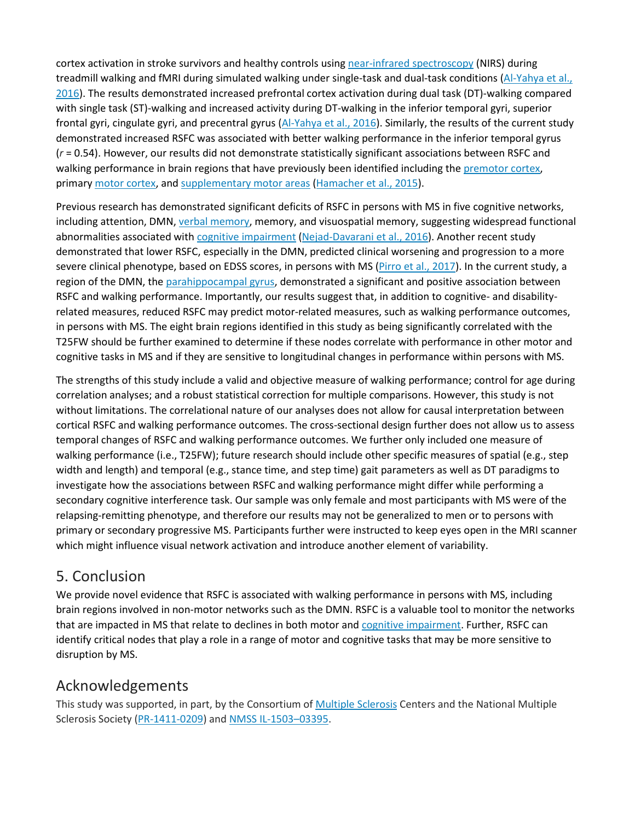cortex activation in stroke survivors and healthy controls using [near-infrared spectroscopy](https://0-www-sciencedirect-com.libus.csd.mu.edu/topics/neuroscience/near-infrared-spectroscopy) (NIRS) during treadmill walking and fMRI during simulated walking under single-task and dual-task conditions [\(Al-Yahya et al.,](https://0-www-sciencedirect-com.libus.csd.mu.edu/science/article/pii/S0028393218302033#bib1)  [2016\)](https://0-www-sciencedirect-com.libus.csd.mu.edu/science/article/pii/S0028393218302033#bib1). The results demonstrated increased prefrontal cortex activation during dual task (DT)-walking compared with single task (ST)-walking and increased activity during DT-walking in the inferior temporal gyri, superior frontal gyri, cingulate gyri, and precentral gyrus [\(Al-Yahya et al., 2016\)](https://0-www-sciencedirect-com.libus.csd.mu.edu/science/article/pii/S0028393218302033#bib1). Similarly, the results of the current study demonstrated increased RSFC was associated with better walking performance in the inferior temporal gyrus (*r* = 0.54). However, our results did not demonstrate statistically significant associations between RSFC and walking performance in brain regions that have previously been identified including the [premotor cortex,](https://0-www-sciencedirect-com.libus.csd.mu.edu/topics/neuroscience/premotor-cortex) primary [motor cortex,](https://0-www-sciencedirect-com.libus.csd.mu.edu/topics/psychology/motor-cortex) and [supplementary motor areas](https://0-www-sciencedirect-com.libus.csd.mu.edu/topics/neuroscience/supplementary-motor-area) [\(Hamacher et al., 2015\)](https://0-www-sciencedirect-com.libus.csd.mu.edu/science/article/pii/S0028393218302033#bib18).

Previous research has demonstrated significant deficits of RSFC in persons with MS in five cognitive networks, including attention, DMN, [verbal memory,](https://0-www-sciencedirect-com.libus.csd.mu.edu/topics/neuroscience/verbal-memory) memory, and visuospatial memory, suggesting widespread functional abnormalities associated with [cognitive impairment](https://0-www-sciencedirect-com.libus.csd.mu.edu/topics/neuroscience/cognitive-disorders) [\(Nejad-Davarani et al., 2016\)](https://0-www-sciencedirect-com.libus.csd.mu.edu/science/article/pii/S0028393218302033#bib34). Another recent study demonstrated that lower RSFC, especially in the DMN, predicted clinical worsening and progression to a more severe clinical phenotype, based on EDSS scores, in persons with MS [\(Pirro et al., 2017\)](https://0-www-sciencedirect-com.libus.csd.mu.edu/science/article/pii/S0028393218302033#bib37). In the current study, a region of the DMN, the [parahippocampal gyrus,](https://0-www-sciencedirect-com.libus.csd.mu.edu/topics/neuroscience/parahippocampal-gyrus) demonstrated a significant and positive association between RSFC and walking performance. Importantly, our results suggest that, in addition to cognitive- and disabilityrelated measures, reduced RSFC may predict motor-related measures, such as walking performance outcomes, in persons with MS. The eight brain regions identified in this study as being significantly correlated with the T25FW should be further examined to determine if these nodes correlate with performance in other motor and cognitive tasks in MS and if they are sensitive to longitudinal changes in performance within persons with MS.

The strengths of this study include a valid and objective measure of walking performance; control for age during correlation analyses; and a robust statistical correction for multiple comparisons. However, this study is not without limitations. The correlational nature of our analyses does not allow for causal interpretation between cortical RSFC and walking performance outcomes. The cross-sectional design further does not allow us to assess temporal changes of RSFC and walking performance outcomes. We further only included one measure of walking performance (i.e., T25FW); future research should include other specific measures of spatial (e.g., step width and length) and temporal (e.g., stance time, and step time) gait parameters as well as DT paradigms to investigate how the associations between RSFC and walking performance might differ while performing a secondary cognitive interference task. Our sample was only female and most participants with MS were of the relapsing-remitting phenotype, and therefore our results may not be generalized to men or to persons with primary or secondary progressive MS. Participants further were instructed to keep eyes open in the MRI scanner which might influence visual network activation and introduce another element of variability.

#### 5. Conclusion

We provide novel evidence that RSFC is associated with walking performance in persons with MS, including brain regions involved in non-motor networks such as the DMN. RSFC is a valuable tool to monitor the networks that are impacted in MS that relate to declines in both motor and [cognitive impairment.](https://0-www-sciencedirect-com.libus.csd.mu.edu/topics/neuroscience/cognitive-disorders) Further, RSFC can identify critical nodes that play a role in a range of motor and cognitive tasks that may be more sensitive to disruption by MS.

#### Acknowledgements

This study was supported, in part, by the Consortium of [Multiple Sclerosis](https://0-www-sciencedirect-com.libus.csd.mu.edu/topics/neuroscience/multiple-sclerosis) Centers and the National Multiple Sclerosis Society [\(PR-1411-0209\)](https://0-www-sciencedirect-com.libus.csd.mu.edu/science/article/pii/S0028393218302033#gs1) and [NMSS IL-1503–03395.](https://0-www-sciencedirect-com.libus.csd.mu.edu/science/article/pii/S0028393218302033#gs1)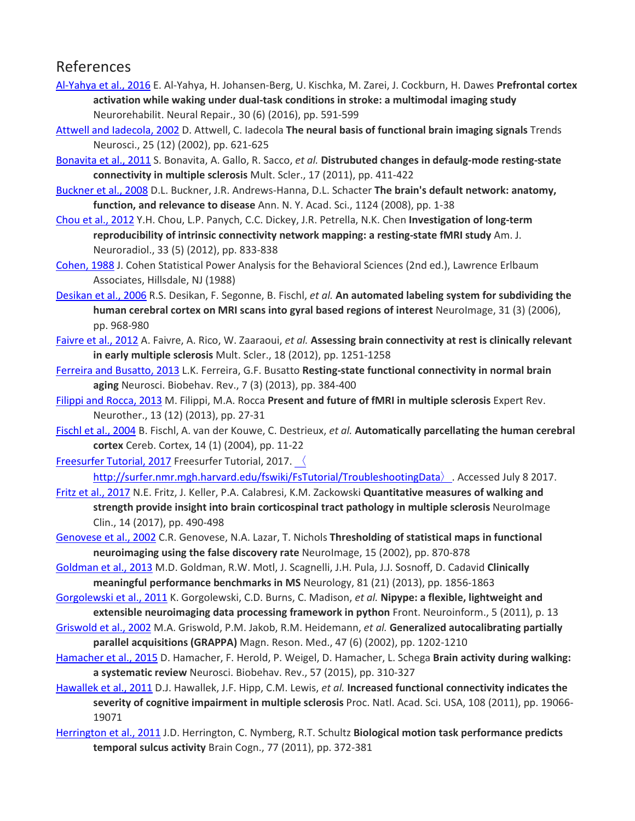#### References

- [Al-Yahya et al., 2016](https://www.sciencedirect.com/science/article/pii/S0028393218302033?via%3Dihub#bbib1) E. Al-Yahya, H. Johansen-Berg, U. Kischka, M. Zarei, J. Cockburn, H. Dawes **Prefrontal cortex activation while waking under dual-task conditions in stroke: a multimodal imaging study** Neurorehabilit. Neural Repair., 30 (6) (2016), pp. 591-599
- [Attwell and Iadecola, 2002](https://www.sciencedirect.com/science/article/pii/S0028393218302033?via%3Dihub#bbib2) D. Attwell, C. Iadecola **The neural basis of functional brain imaging signals** Trends Neurosci., 25 (12) (2002), pp. 621-625
- [Bonavita et al., 2011](https://www.sciencedirect.com/science/article/pii/S0028393218302033?via%3Dihub#bbib3) S. Bonavita, A. Gallo, R. Sacco, *et al.* **Distrubuted changes in defaulg-mode resting-state connectivity in multiple sclerosis** Mult. Scler., 17 (2011), pp. 411-422
- [Buckner et al., 2008](https://www.sciencedirect.com/science/article/pii/S0028393218302033?via%3Dihub#bbib4) D.L. Buckner, J.R. Andrews-Hanna, D.L. Schacter **The brain's default network: anatomy, function, and relevance to disease** Ann. N. Y. Acad. Sci., 1124 (2008), pp. 1-38
- [Chou et al., 2012](https://www.sciencedirect.com/science/article/pii/S0028393218302033?via%3Dihub#bbib5) Y.H. Chou, L.P. Panych, C.C. Dickey, J.R. Petrella, N.K. Chen **Investigation of long-term reproducibility of intrinsic connectivity network mapping: a resting-state fMRI study** Am. J. Neuroradiol., 33 (5) (2012), pp. 833-838
- [Cohen, 1988](https://www.sciencedirect.com/science/article/pii/S0028393218302033?via%3Dihub#bbib6) J. Cohen Statistical Power Analysis for the Behavioral Sciences (2nd ed.), Lawrence Erlbaum Associates, Hillsdale, NJ (1988)
- [Desikan et al., 2006](https://www.sciencedirect.com/science/article/pii/S0028393218302033?via%3Dihub#bbib7) R.S. Desikan, F. Segonne, B. Fischl, *et al.* **An automated labeling system for subdividing the human cerebral cortex on MRI scans into gyral based regions of interest** NeuroImage, 31 (3) (2006), pp. 968-980
- [Faivre et al., 2012](https://www.sciencedirect.com/science/article/pii/S0028393218302033?via%3Dihub#bbib8) A. Faivre, A. Rico, W. Zaaraoui, *et al.* **Assessing brain connectivity at rest is clinically relevant in early multiple sclerosis** Mult. Scler., 18 (2012), pp. 1251-1258
- [Ferreira and Busatto, 2013](https://www.sciencedirect.com/science/article/pii/S0028393218302033?via%3Dihub#bbib9) L.K. Ferreira, G.F. Busatto **Resting-state functional connectivity in normal brain aging** Neurosci. Biobehav. Rev., 7 (3) (2013), pp. 384-400
- [Filippi and Rocca, 2013](https://www.sciencedirect.com/science/article/pii/S0028393218302033?via%3Dihub#bbib10) M. Filippi, M.A. Rocca **Present and future of fMRI in multiple sclerosis** Expert Rev. Neurother., 13 (12) (2013), pp. 27-31
- [Fischl et al., 2004](https://www.sciencedirect.com/science/article/pii/S0028393218302033?via%3Dihub#bbib11) B. Fischl, A. van der Kouwe, C. Destrieux, *et al.* **Automatically parcellating the human cerebral cortex** Cereb. Cortex, 14 (1) (2004), pp. 11-22

[Freesurfer Tutorial, 2017](https://www.sciencedirect.com/science/article/pii/S0028393218302033?via%3Dihub#bbib12) Freesurfer Tutorial, 2017. [〈](http://surfer.nmr.mgh.harvard.edu/fswiki/FsTutorial/TroubleshootingData)

- <http://surfer.nmr.mgh.harvard.edu/fswiki/FsTutorial/TroubleshootingData>〉. Accessed July 8 2017.
- [Fritz et al., 2017](https://www.sciencedirect.com/science/article/pii/S0028393218302033?via%3Dihub#bbib13) N.E. Fritz, J. Keller, P.A. Calabresi, K.M. Zackowski **Quantitative measures of walking and strength provide insight into brain corticospinal tract pathology in multiple sclerosis** NeuroImage Clin., 14 (2017), pp. 490-498
- [Genovese et al., 2002](https://www.sciencedirect.com/science/article/pii/S0028393218302033?via%3Dihub#bbib14) C.R. Genovese, N.A. Lazar, T. Nichols **Thresholding of statistical maps in functional neuroimaging using the false discovery rate** NeuroImage, 15 (2002), pp. 870-878
- [Goldman et al., 2013](https://www.sciencedirect.com/science/article/pii/S0028393218302033?via%3Dihub#bbib15) M.D. Goldman, R.W. Motl, J. Scagnelli, J.H. Pula, J.J. Sosnoff, D. Cadavid **Clinically meaningful performance benchmarks in MS** Neurology, 81 (21) (2013), pp. 1856-1863
- [Gorgolewski et al., 2011](https://www.sciencedirect.com/science/article/pii/S0028393218302033?via%3Dihub#bbib16) K. Gorgolewski, C.D. Burns, C. Madison, *et al.* **Nipype: a flexible, lightweight and extensible neuroimaging data processing framework in python** Front. Neuroinform., 5 (2011), p. 13
- [Griswold et al., 2002](https://www.sciencedirect.com/science/article/pii/S0028393218302033?via%3Dihub#bbib17) M.A. Griswold, P.M. Jakob, R.M. Heidemann, *et al.* **Generalized autocalibrating partially parallel acquisitions (GRAPPA)** Magn. Reson. Med., 47 (6) (2002), pp. 1202-1210
- [Hamacher et al., 2015](https://www.sciencedirect.com/science/article/pii/S0028393218302033?via%3Dihub#bbib18) D. Hamacher, F. Herold, P. Weigel, D. Hamacher, L. Schega **Brain activity during walking: a systematic review** Neurosci. Biobehav. Rev., 57 (2015), pp. 310-327
- [Hawallek et al., 2011](https://www.sciencedirect.com/science/article/pii/S0028393218302033?via%3Dihub#bbib19) D.J. Hawallek, J.F. Hipp, C.M. Lewis, *et al.* **Increased functional connectivity indicates the severity of cognitive impairment in multiple sclerosis** Proc. Natl. Acad. Sci. USA, 108 (2011), pp. 19066- 19071
- [Herrington et al., 2011](https://www.sciencedirect.com/science/article/pii/S0028393218302033?via%3Dihub#bbib20) J.D. Herrington, C. Nymberg, R.T. Schultz **Biological motion task performance predicts temporal sulcus activity** Brain Cogn., 77 (2011), pp. 372-381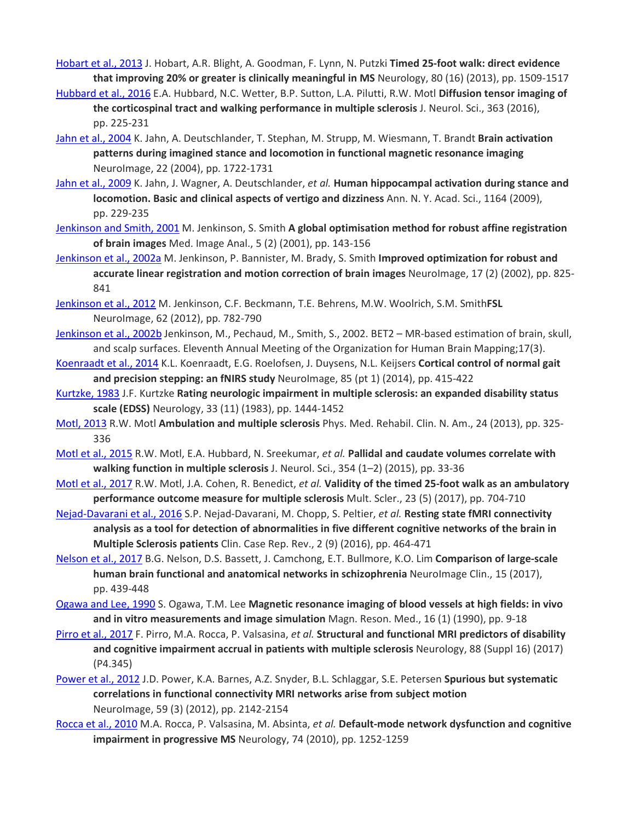[Hobart et al., 2013](https://www.sciencedirect.com/science/article/pii/S0028393218302033?via%3Dihub#bbib21) J. Hobart, A.R. Blight, A. Goodman, F. Lynn, N. Putzki **Timed 25-foot walk: direct evidence that improving 20% or greater is clinically meaningful in MS** Neurology, 80 (16) (2013), pp. 1509-1517

- [Hubbard et al., 2016](https://www.sciencedirect.com/science/article/pii/S0028393218302033?via%3Dihub#bbib22) E.A. Hubbard, N.C. Wetter, B.P. Sutton, L.A. Pilutti, R.W. Motl **Diffusion tensor imaging of the corticospinal tract and walking performance in multiple sclerosis** J. Neurol. Sci., 363 (2016), pp. 225-231
- [Jahn et al., 2004](https://www.sciencedirect.com/science/article/pii/S0028393218302033?via%3Dihub#bbib23) K. Jahn, A. Deutschlander, T. Stephan, M. Strupp, M. Wiesmann, T. Brandt **Brain activation patterns during imagined stance and locomotion in functional magnetic resonance imaging** NeuroImage, 22 (2004), pp. 1722-1731
- [Jahn et al., 2009](https://www.sciencedirect.com/science/article/pii/S0028393218302033?via%3Dihub#bbib24) K. Jahn, J. Wagner, A. Deutschlander, *et al.* **Human hippocampal activation during stance and locomotion. Basic and clinical aspects of vertigo and dizziness** Ann. N. Y. Acad. Sci., 1164 (2009), pp. 229-235
- [Jenkinson and Smith, 2001](https://www.sciencedirect.com/science/article/pii/S0028393218302033?via%3Dihub#bbib25) M. Jenkinson, S. Smith **A global optimisation method for robust affine registration of brain images** Med. Image Anal., 5 (2) (2001), pp. 143-156
- [Jenkinson et al., 2002a](https://www.sciencedirect.com/science/article/pii/S0028393218302033?via%3Dihub#bbib26) M. Jenkinson, P. Bannister, M. Brady, S. Smith **Improved optimization for robust and accurate linear registration and motion correction of brain images** NeuroImage, 17 (2) (2002), pp. 825- 841
- [Jenkinson et al., 2012](https://www.sciencedirect.com/science/article/pii/S0028393218302033?via%3Dihub#bbib27) M. Jenkinson, C.F. Beckmann, T.E. Behrens, M.W. Woolrich, S.M. Smith**FSL** NeuroImage, 62 (2012), pp. 782-790
- [Jenkinson et al., 2002b](https://www.sciencedirect.com/science/article/pii/S0028393218302033?via%3Dihub#bbib28) Jenkinson, M., Pechaud, M., Smith, S., 2002. BET2 MR-based estimation of brain, skull, and scalp surfaces. Eleventh Annual Meeting of the Organization for Human Brain Mapping;17(3).
- [Koenraadt et al., 2014](https://www.sciencedirect.com/science/article/pii/S0028393218302033?via%3Dihub#bbib29) K.L. Koenraadt, E.G. Roelofsen, J. Duysens, N.L. Keijsers **Cortical control of normal gait and precision stepping: an fNIRS study** NeuroImage, 85 (pt 1) (2014), pp. 415-422
- [Kurtzke, 1983](https://www.sciencedirect.com/science/article/pii/S0028393218302033?via%3Dihub#bbib30) J.F. Kurtzke **Rating neurologic impairment in multiple sclerosis: an expanded disability status scale (EDSS)** Neurology, 33 (11) (1983), pp. 1444-1452
- [Motl, 2013](https://www.sciencedirect.com/science/article/pii/S0028393218302033?via%3Dihub#bbib31) R.W. Motl **Ambulation and multiple sclerosis** Phys. Med. Rehabil. Clin. N. Am., 24 (2013), pp. 325- 336
- [Motl et al., 2015](https://www.sciencedirect.com/science/article/pii/S0028393218302033?via%3Dihub#bbib32) R.W. Motl, E.A. Hubbard, N. Sreekumar, *et al.* **Pallidal and caudate volumes correlate with walking function in multiple sclerosis** J. Neurol. Sci., 354 (1–2) (2015), pp. 33-36
- [Motl et al., 2017](https://www.sciencedirect.com/science/article/pii/S0028393218302033?via%3Dihub#bbib33) R.W. Motl, J.A. Cohen, R. Benedict, *et al.* **Validity of the timed 25-foot walk as an ambulatory performance outcome measure for multiple sclerosis** Mult. Scler., 23 (5) (2017), pp. 704-710
- [Nejad-Davarani et al., 2016](https://www.sciencedirect.com/science/article/pii/S0028393218302033?via%3Dihub#bbib34) S.P. Nejad-Davarani, M. Chopp, S. Peltier, *et al.* **Resting state fMRI connectivity analysis as a tool for detection of abnormalities in five different cognitive networks of the brain in Multiple Sclerosis patients** Clin. Case Rep. Rev., 2 (9) (2016), pp. 464-471
- [Nelson et al., 2017](https://www.sciencedirect.com/science/article/pii/S0028393218302033?via%3Dihub#bbib35) B.G. Nelson, D.S. Bassett, J. Camchong, E.T. Bullmore, K.O. Lim **Comparison of large-scale human brain functional and anatomical networks in schizophrenia** NeuroImage Clin., 15 (2017), pp. 439-448
- [Ogawa and Lee, 1990](https://www.sciencedirect.com/science/article/pii/S0028393218302033?via%3Dihub#bbib36) S. Ogawa, T.M. Lee **Magnetic resonance imaging of blood vessels at high fields: in vivo and in vitro measurements and image simulation** Magn. Reson. Med., 16 (1) (1990), pp. 9-18
- [Pirro et al., 2017](https://www.sciencedirect.com/science/article/pii/S0028393218302033?via%3Dihub#bbib37) F. Pirro, M.A. Rocca, P. Valsasina, *et al.* **Structural and functional MRI predictors of disability and cognitive impairment accrual in patients with multiple sclerosis** Neurology, 88 (Suppl 16) (2017) (P4.345)
- [Power et al., 2012](https://www.sciencedirect.com/science/article/pii/S0028393218302033?via%3Dihub#bbib38) J.D. Power, K.A. Barnes, A.Z. Snyder, B.L. Schlaggar, S.E. Petersen **Spurious but systematic correlations in functional connectivity MRI networks arise from subject motion** NeuroImage, 59 (3) (2012), pp. 2142-2154
- [Rocca et al., 2010](https://www.sciencedirect.com/science/article/pii/S0028393218302033?via%3Dihub#bbib39) M.A. Rocca, P. Valsasina, M. Absinta, *et al.* **Default-mode network dysfunction and cognitive impairment in progressive MS** Neurology, 74 (2010), pp. 1252-1259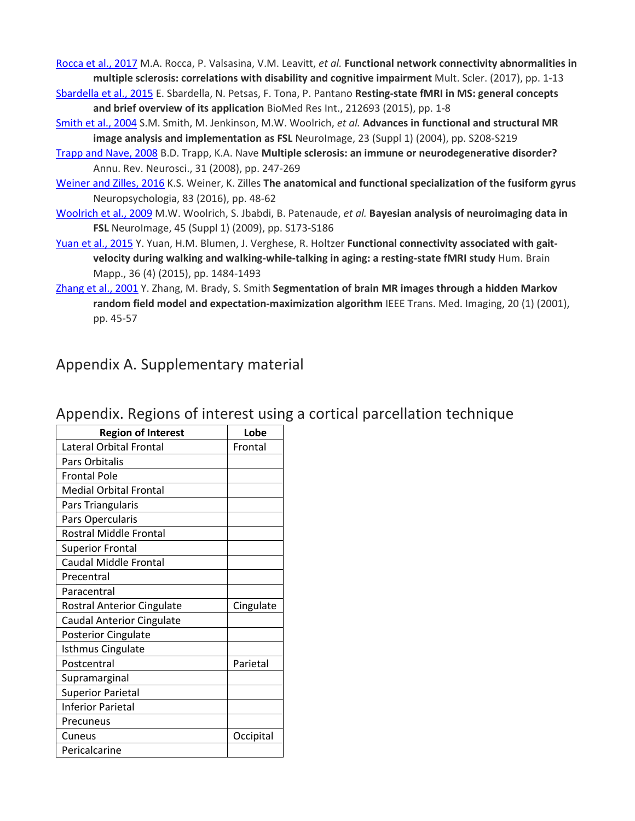[Rocca et al., 2017](https://www.sciencedirect.com/science/article/pii/S0028393218302033?via%3Dihub#bbib40) M.A. Rocca, P. Valsasina, V.M. Leavitt, *et al.* **Functional network connectivity abnormalities in multiple sclerosis: correlations with disability and cognitive impairment** Mult. Scler. (2017), pp. 1-13

[Sbardella et al., 2015](https://www.sciencedirect.com/science/article/pii/S0028393218302033?via%3Dihub#bbib41) E. Sbardella, N. Petsas, F. Tona, P. Pantano **Resting-state fMRI in MS: general concepts and brief overview of its application** BioMed Res Int., 212693 (2015), pp. 1-8

- [Smith et al., 2004](https://www.sciencedirect.com/science/article/pii/S0028393218302033?via%3Dihub#bbib42) S.M. Smith, M. Jenkinson, M.W. Woolrich, *et al.* **Advances in functional and structural MR image analysis and implementation as FSL** NeuroImage, 23 (Suppl 1) (2004), pp. S208-S219
- [Trapp and Nave, 2008](https://www.sciencedirect.com/science/article/pii/S0028393218302033?via%3Dihub#bbib43) B.D. Trapp, K.A. Nave **Multiple sclerosis: an immune or neurodegenerative disorder?** Annu. Rev. Neurosci., 31 (2008), pp. 247-269
- [Weiner and Zilles, 2016](https://www.sciencedirect.com/science/article/pii/S0028393218302033?via%3Dihub#bbib44) K.S. Weiner, K. Zilles **The anatomical and functional specialization of the fusiform gyrus** Neuropsychologia, 83 (2016), pp. 48-62
- [Woolrich et al., 2009](https://www.sciencedirect.com/science/article/pii/S0028393218302033?via%3Dihub#bbib45) M.W. Woolrich, S. Jbabdi, B. Patenaude, *et al.* **Bayesian analysis of neuroimaging data in FSL** NeuroImage, 45 (Suppl 1) (2009), pp. S173-S186
- [Yuan et al., 2015](https://www.sciencedirect.com/science/article/pii/S0028393218302033?via%3Dihub#bbib46) Y. Yuan, H.M. Blumen, J. Verghese, R. Holtzer **Functional connectivity associated with gaitvelocity during walking and walking-while-talking in aging: a resting-state fMRI study** Hum. Brain Mapp., 36 (4) (2015), pp. 1484-1493
- [Zhang et al., 2001](https://www.sciencedirect.com/science/article/pii/S0028393218302033?via%3Dihub#bbib47) Y. Zhang, M. Brady, S. Smith **Segmentation of brain MR images through a hidden Markov random field model and expectation-maximization algorithm** IEEE Trans. Med. Imaging, 20 (1) (2001), pp. 45-57

#### Appendix A. Supplementary material

| <b>Region of Interest</b>         | Lobe      |
|-----------------------------------|-----------|
| <b>Lateral Orbital Frontal</b>    | Frontal   |
| Pars Orbitalis                    |           |
| <b>Frontal Pole</b>               |           |
| <b>Medial Orbital Frontal</b>     |           |
| Pars Triangularis                 |           |
| Pars Opercularis                  |           |
| <b>Rostral Middle Frontal</b>     |           |
| <b>Superior Frontal</b>           |           |
| <b>Caudal Middle Frontal</b>      |           |
| Precentral                        |           |
| Paracentral                       |           |
| <b>Rostral Anterior Cingulate</b> | Cingulate |
| <b>Caudal Anterior Cingulate</b>  |           |
| <b>Posterior Cingulate</b>        |           |
| Isthmus Cingulate                 |           |
| Postcentral                       | Parietal  |
| Supramarginal                     |           |
| <b>Superior Parietal</b>          |           |
| <b>Inferior Parietal</b>          |           |
| Precuneus                         |           |
| Cuneus                            | Occipital |
| Pericalcarine                     |           |

Appendix. Regions of interest using a cortical parcellation technique